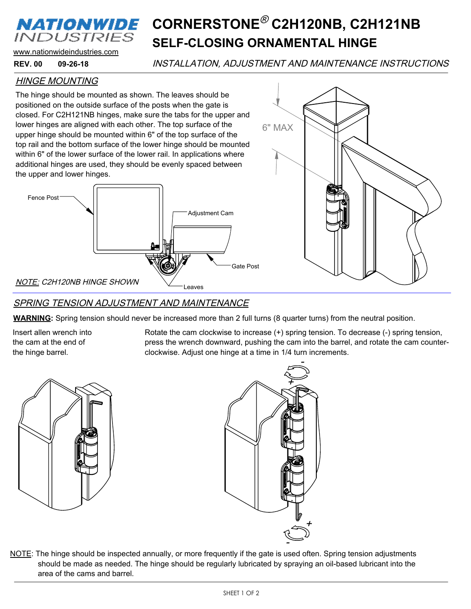### *NATIONWIDE* **INDUSTRIES**

## **SELF-CLOSING ORNAMENTAL HINGE** CORNERSTONE<sup>®</sup> C2H120NB, C2H121NB

www.nationwideindustries.com

#### **09-26-18 REV. 00**

INSTALLATION, ADJUSTMENT AND MAINTENANCE INSTRUCTIONS

### HINGE MOUNTING

The hinge should be mounted as shown. The leaves should be positioned on the outside surface of the posts when the gate is closed. For C2H121NB hinges, make sure the tabs for the upper and lower hinges are aligned with each other. The top surface of the upper hinge should be mounted within 6" of the top surface of the top rail and the bottom surface of the lower hinge should be mounted within 6" of the lower surface of the lower rail. In applications where additional hinges are used, they should be evenly spaced between the upper and lower hinges.





#### SPRING TENSION ADJUSTMENT AND MAINTENANCE

**WARNING:** Spring tension should never be increased more than 2 full turns (8 quarter turns) from the neutral position.

Insert allen wrench into the cam at the end of the hinge barrel.

Rotate the cam clockwise to increase (+) spring tension. To decrease (-) spring tension, press the wrench downward, pushing the cam into the barrel, and rotate the cam counterclockwise. Adjust one hinge at a time in 1/4 turn increments.





NOTE: The hinge should be inspected annually, or more frequently if the gate is used often. Spring tension adjustments should be made as needed. The hinge should be regularly lubricated by spraying an oil-based lubricant into the area of the cams and barrel.